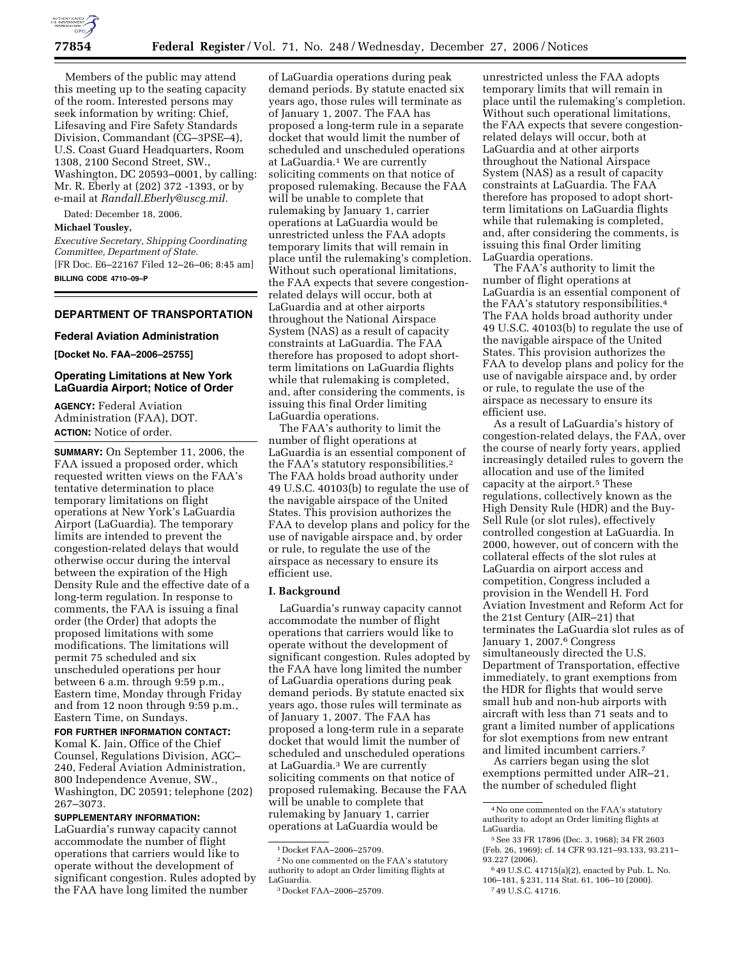

Members of the public may attend this meeting up to the seating capacity of the room. Interested persons may seek information by writing: Chief, Lifesaving and Fire Safety Standards Division, Commandant (CG–3PSE–4), U.S. Coast Guard Headquarters, Room 1308, 2100 Second Street, SW., Washington, DC 20593–0001, by calling: Mr. R. Eberly at (202) 372 -1393, or by e-mail at *Randall.Eberly@uscg.mil.* 

Dated: December 18, 2006.

#### **Michael Tousley,**

*Executive Secretary, Shipping Coordinating Committee, Department of State.*  [FR Doc. E6–22167 Filed 12–26–06; 8:45 am] **BILLING CODE 4710–09–P** 

## **DEPARTMENT OF TRANSPORTATION**

#### **Federal Aviation Administration**

**[Docket No. FAA–2006–25755]** 

# **Operating Limitations at New York LaGuardia Airport; Notice of Order**

**AGENCY:** Federal Aviation Administration (FAA), DOT. **ACTION:** Notice of order.

**SUMMARY:** On September 11, 2006, the FAA issued a proposed order, which requested written views on the FAA's tentative determination to place temporary limitations on flight operations at New York's LaGuardia Airport (LaGuardia). The temporary limits are intended to prevent the congestion-related delays that would otherwise occur during the interval between the expiration of the High Density Rule and the effective date of a long-term regulation. In response to comments, the FAA is issuing a final order (the Order) that adopts the proposed limitations with some modifications. The limitations will permit 75 scheduled and six unscheduled operations per hour between 6 a.m. through 9:59 p.m., Eastern time, Monday through Friday and from 12 noon through 9:59 p.m., Eastern Time, on Sundays.

**FOR FURTHER INFORMATION CONTACT:**  Komal K. Jain, Office of the Chief Counsel, Regulations Division, AGC–

240, Federal Aviation Administration, 800 Independence Avenue, SW., Washington, DC 20591; telephone (202) 267–3073.

## **SUPPLEMENTARY INFORMATION:**

LaGuardia's runway capacity cannot accommodate the number of flight operations that carriers would like to operate without the development of significant congestion. Rules adopted by the FAA have long limited the number

of LaGuardia operations during peak demand periods. By statute enacted six years ago, those rules will terminate as of January 1, 2007. The FAA has proposed a long-term rule in a separate docket that would limit the number of scheduled and unscheduled operations at LaGuardia.1 We are currently soliciting comments on that notice of proposed rulemaking. Because the FAA will be unable to complete that rulemaking by January 1, carrier operations at LaGuardia would be unrestricted unless the FAA adopts temporary limits that will remain in place until the rulemaking's completion. Without such operational limitations, the FAA expects that severe congestionrelated delays will occur, both at LaGuardia and at other airports throughout the National Airspace System (NAS) as a result of capacity constraints at LaGuardia. The FAA therefore has proposed to adopt shortterm limitations on LaGuardia flights while that rulemaking is completed, and, after considering the comments, is issuing this final Order limiting LaGuardia operations.

The FAA's authority to limit the number of flight operations at LaGuardia is an essential component of the FAA's statutory responsibilities.2 The FAA holds broad authority under 49 U.S.C. 40103(b) to regulate the use of the navigable airspace of the United States. This provision authorizes the FAA to develop plans and policy for the use of navigable airspace and, by order or rule, to regulate the use of the airspace as necessary to ensure its efficient use.

#### **I. Background**

LaGuardia's runway capacity cannot accommodate the number of flight operations that carriers would like to operate without the development of significant congestion. Rules adopted by the FAA have long limited the number of LaGuardia operations during peak demand periods. By statute enacted six years ago, those rules will terminate as of January 1, 2007. The FAA has proposed a long-term rule in a separate docket that would limit the number of scheduled and unscheduled operations at LaGuardia.3 We are currently soliciting comments on that notice of proposed rulemaking. Because the FAA will be unable to complete that rulemaking by January 1, carrier operations at LaGuardia would be

2No one commented on the FAA's statutory authority to adopt an Order limiting flights at LaGuardia.

unrestricted unless the FAA adopts temporary limits that will remain in place until the rulemaking's completion. Without such operational limitations, the FAA expects that severe congestionrelated delays will occur, both at LaGuardia and at other airports throughout the National Airspace System (NAS) as a result of capacity constraints at LaGuardia. The FAA therefore has proposed to adopt shortterm limitations on LaGuardia flights while that rulemaking is completed, and, after considering the comments, is issuing this final Order limiting LaGuardia operations.

The FAA's authority to limit the number of flight operations at LaGuardia is an essential component of the FAA's statutory responsibilities.4 The FAA holds broad authority under 49 U.S.C. 40103(b) to regulate the use of the navigable airspace of the United States. This provision authorizes the FAA to develop plans and policy for the use of navigable airspace and, by order or rule, to regulate the use of the airspace as necessary to ensure its efficient use.

As a result of LaGuardia's history of congestion-related delays, the FAA, over the course of nearly forty years, applied increasingly detailed rules to govern the allocation and use of the limited capacity at the airport.5 These regulations, collectively known as the High Density Rule (HDR) and the Buy-Sell Rule (or slot rules), effectively controlled congestion at LaGuardia. In 2000, however, out of concern with the collateral effects of the slot rules at LaGuardia on airport access and competition, Congress included a provision in the Wendell H. Ford Aviation Investment and Reform Act for the 21st Century (AIR–21) that terminates the LaGuardia slot rules as of January 1, 2007.<sup>6</sup> Congress simultaneously directed the U.S. Department of Transportation, effective immediately, to grant exemptions from the HDR for flights that would serve small hub and non-hub airports with aircraft with less than 71 seats and to grant a limited number of applications for slot exemptions from new entrant and limited incumbent carriers.7

As carriers began using the slot exemptions permitted under AIR–21, the number of scheduled flight

<sup>1</sup> Docket FAA–2006–25709.

<sup>3</sup> Docket FAA–2006–25709.

<sup>4</sup>No one commented on the FAA's statutory authority to adopt an Order limiting flights at LaGuardia.

<sup>5</sup>See 33 FR 17896 (Dec. 3, 1968); 34 FR 2603 (Feb. 26, 1969); cf. 14 CFR 93.121–93.133, 93.211– 93.227 (2006).

<sup>6</sup> 49 U.S.C. 41715(a)(2), enacted by Pub. L. No. 106–181, § 231, 114 Stat. 61, 106–10 (2000). 7 49 U.S.C. 41716.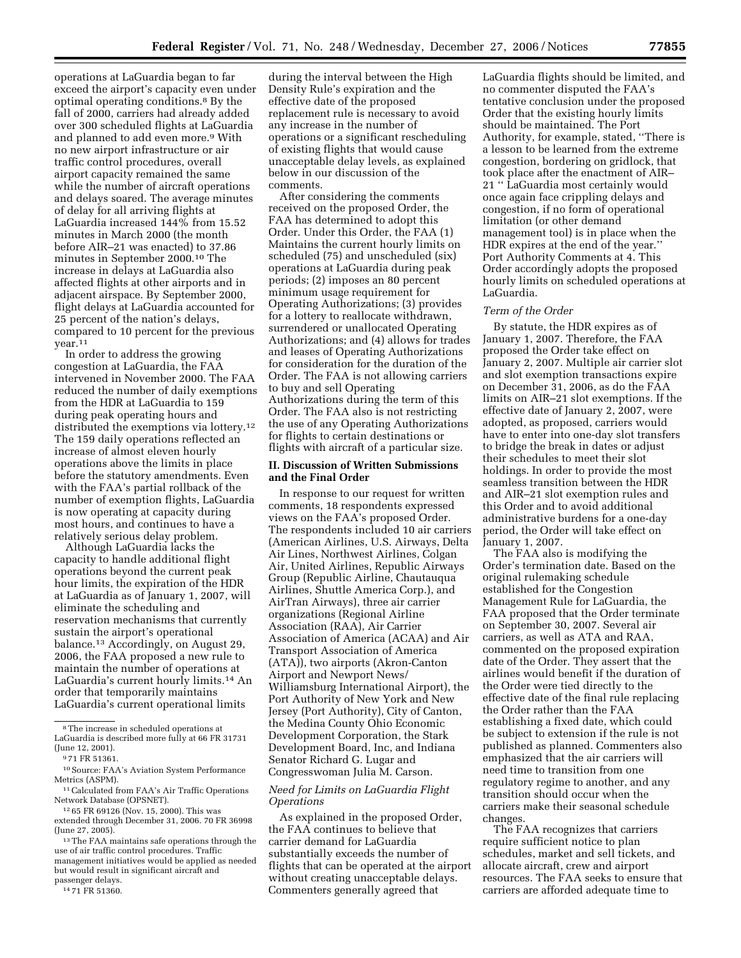operations at LaGuardia began to far exceed the airport's capacity even under optimal operating conditions.8 By the fall of 2000, carriers had already added over 300 scheduled flights at LaGuardia and planned to add even more.9 With no new airport infrastructure or air traffic control procedures, overall airport capacity remained the same while the number of aircraft operations and delays soared. The average minutes of delay for all arriving flights at LaGuardia increased 144% from 15.52 minutes in March 2000 (the month before AIR–21 was enacted) to 37.86 minutes in September 2000.10 The increase in delays at LaGuardia also affected flights at other airports and in adjacent airspace. By September 2000, flight delays at LaGuardia accounted for 25 percent of the nation's delays, compared to 10 percent for the previous year.11

In order to address the growing congestion at LaGuardia, the FAA intervened in November 2000. The FAA reduced the number of daily exemptions from the HDR at LaGuardia to 159 during peak operating hours and distributed the exemptions via lottery.<sup>12</sup> The 159 daily operations reflected an increase of almost eleven hourly operations above the limits in place before the statutory amendments. Even with the FAA's partial rollback of the number of exemption flights, LaGuardia is now operating at capacity during most hours, and continues to have a relatively serious delay problem.

Although LaGuardia lacks the capacity to handle additional flight operations beyond the current peak hour limits, the expiration of the HDR at LaGuardia as of January 1, 2007, will eliminate the scheduling and reservation mechanisms that currently sustain the airport's operational balance.13 Accordingly, on August 29, 2006, the FAA proposed a new rule to maintain the number of operations at LaGuardia's current hourly limits.14 An order that temporarily maintains LaGuardia's current operational limits

13The FAA maintains safe operations through the use of air traffic control procedures. Traffic management initiatives would be applied as needed but would result in significant aircraft and passenger delays.

during the interval between the High Density Rule's expiration and the effective date of the proposed replacement rule is necessary to avoid any increase in the number of operations or a significant rescheduling of existing flights that would cause unacceptable delay levels, as explained below in our discussion of the comments.

After considering the comments received on the proposed Order, the FAA has determined to adopt this Order. Under this Order, the FAA (1) Maintains the current hourly limits on scheduled (75) and unscheduled (six) operations at LaGuardia during peak periods; (2) imposes an 80 percent minimum usage requirement for Operating Authorizations; (3) provides for a lottery to reallocate withdrawn, surrendered or unallocated Operating Authorizations; and (4) allows for trades and leases of Operating Authorizations for consideration for the duration of the Order. The FAA is not allowing carriers to buy and sell Operating Authorizations during the term of this Order. The FAA also is not restricting the use of any Operating Authorizations for flights to certain destinations or flights with aircraft of a particular size.

### **II. Discussion of Written Submissions and the Final Order**

In response to our request for written comments, 18 respondents expressed views on the FAA's proposed Order. The respondents included 10 air carriers (American Airlines, U.S. Airways, Delta Air Lines, Northwest Airlines, Colgan Air, United Airlines, Republic Airways Group (Republic Airline, Chautauqua Airlines, Shuttle America Corp.), and AirTran Airways), three air carrier organizations (Regional Airline Association (RAA), Air Carrier Association of America (ACAA) and Air Transport Association of America (ATA)), two airports (Akron-Canton Airport and Newport News/ Williamsburg International Airport), the Port Authority of New York and New Jersey (Port Authority), City of Canton, the Medina County Ohio Economic Development Corporation, the Stark Development Board, Inc, and Indiana Senator Richard G. Lugar and Congresswoman Julia M. Carson.

# *Need for Limits on LaGuardia Flight Operations*

As explained in the proposed Order, the FAA continues to believe that carrier demand for LaGuardia substantially exceeds the number of flights that can be operated at the airport without creating unacceptable delays. Commenters generally agreed that

LaGuardia flights should be limited, and no commenter disputed the FAA's tentative conclusion under the proposed Order that the existing hourly limits should be maintained. The Port Authority, for example, stated, ''There is a lesson to be learned from the extreme congestion, bordering on gridlock, that took place after the enactment of AIR– 21 '' LaGuardia most certainly would once again face crippling delays and congestion, if no form of operational limitation (or other demand management tool) is in place when the HDR expires at the end of the year.'' Port Authority Comments at 4. This Order accordingly adopts the proposed hourly limits on scheduled operations at LaGuardia.

### *Term of the Order*

By statute, the HDR expires as of January 1, 2007. Therefore, the FAA proposed the Order take effect on January 2, 2007. Multiple air carrier slot and slot exemption transactions expire on December 31, 2006, as do the FAA limits on AIR–21 slot exemptions. If the effective date of January 2, 2007, were adopted, as proposed, carriers would have to enter into one-day slot transfers to bridge the break in dates or adjust their schedules to meet their slot holdings. In order to provide the most seamless transition between the HDR and AIR–21 slot exemption rules and this Order and to avoid additional administrative burdens for a one-day period, the Order will take effect on January 1, 2007.

The FAA also is modifying the Order's termination date. Based on the original rulemaking schedule established for the Congestion Management Rule for LaGuardia, the FAA proposed that the Order terminate on September 30, 2007. Several air carriers, as well as ATA and RAA, commented on the proposed expiration date of the Order. They assert that the airlines would benefit if the duration of the Order were tied directly to the effective date of the final rule replacing the Order rather than the FAA establishing a fixed date, which could be subject to extension if the rule is not published as planned. Commenters also emphasized that the air carriers will need time to transition from one regulatory regime to another, and any transition should occur when the carriers make their seasonal schedule changes.

The FAA recognizes that carriers require sufficient notice to plan schedules, market and sell tickets, and allocate aircraft, crew and airport resources. The FAA seeks to ensure that carriers are afforded adequate time to

<sup>8</sup>The increase in scheduled operations at LaGuardia is described more fully at 66 FR 31731 (June 12, 2001).

<sup>9</sup> 71 FR 51361.

<sup>10</sup>Source: FAA's Aviation System Performance Metrics (ASPM).

<sup>11</sup>Calculated from FAA's Air Traffic Operations Network Database (OPSNET).

<sup>12</sup> 65 FR 69126 (Nov. 15, 2000). This was

extended through December 31, 2006. 70 FR 36998 (June 27, 2005).

<sup>14</sup> 71 FR 51360.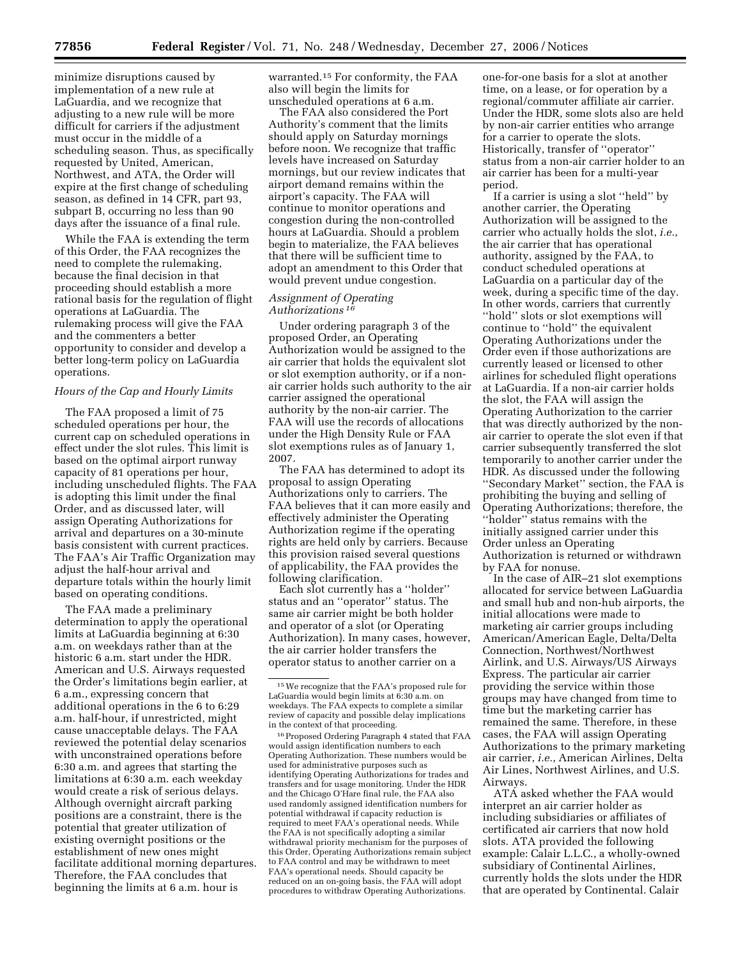minimize disruptions caused by implementation of a new rule at LaGuardia, and we recognize that adjusting to a new rule will be more difficult for carriers if the adjustment must occur in the middle of a scheduling season. Thus, as specifically requested by United, American, Northwest, and ATA, the Order will expire at the first change of scheduling season, as defined in 14 CFR, part 93, subpart B, occurring no less than 90 days after the issuance of a final rule.

While the FAA is extending the term of this Order, the FAA recognizes the need to complete the rulemaking, because the final decision in that proceeding should establish a more rational basis for the regulation of flight operations at LaGuardia. The rulemaking process will give the FAA and the commenters a better opportunity to consider and develop a better long-term policy on LaGuardia operations.

### *Hours of the Cap and Hourly Limits*

The FAA proposed a limit of 75 scheduled operations per hour, the current cap on scheduled operations in effect under the slot rules. This limit is based on the optimal airport runway capacity of 81 operations per hour, including unscheduled flights. The FAA is adopting this limit under the final Order, and as discussed later, will assign Operating Authorizations for arrival and departures on a 30-minute basis consistent with current practices. The FAA's Air Traffic Organization may adjust the half-hour arrival and departure totals within the hourly limit based on operating conditions.

The FAA made a preliminary determination to apply the operational limits at LaGuardia beginning at 6:30 a.m. on weekdays rather than at the historic 6 a.m. start under the HDR. American and U.S. Airways requested the Order's limitations begin earlier, at 6 a.m., expressing concern that additional operations in the 6 to 6:29 a.m. half-hour, if unrestricted, might cause unacceptable delays. The FAA reviewed the potential delay scenarios with unconstrained operations before 6:30 a.m. and agrees that starting the limitations at 6:30 a.m. each weekday would create a risk of serious delays. Although overnight aircraft parking positions are a constraint, there is the potential that greater utilization of existing overnight positions or the establishment of new ones might facilitate additional morning departures. Therefore, the FAA concludes that beginning the limits at 6 a.m. hour is

warranted.15 For conformity, the FAA also will begin the limits for unscheduled operations at 6 a.m.

The FAA also considered the Port Authority's comment that the limits should apply on Saturday mornings before noon. We recognize that traffic levels have increased on Saturday mornings, but our review indicates that airport demand remains within the airport's capacity. The FAA will continue to monitor operations and congestion during the non-controlled hours at LaGuardia. Should a problem begin to materialize, the FAA believes that there will be sufficient time to adopt an amendment to this Order that would prevent undue congestion.

# *Assignment of Operating Authorizations 16*

Under ordering paragraph 3 of the proposed Order, an Operating Authorization would be assigned to the air carrier that holds the equivalent slot or slot exemption authority, or if a nonair carrier holds such authority to the air carrier assigned the operational authority by the non-air carrier. The FAA will use the records of allocations under the High Density Rule or FAA slot exemptions rules as of January 1, 2007.

The FAA has determined to adopt its proposal to assign Operating Authorizations only to carriers. The FAA believes that it can more easily and effectively administer the Operating Authorization regime if the operating rights are held only by carriers. Because this provision raised several questions of applicability, the FAA provides the following clarification.

Each slot currently has a ''holder'' status and an ''operator'' status. The same air carrier might be both holder and operator of a slot (or Operating Authorization). In many cases, however, the air carrier holder transfers the operator status to another carrier on a

 $^{16}\rm{Proposed}$  Ordering Paragraph 4 stated that FAA would assign identification numbers to each Operating Authorization. These numbers would be used for administrative purposes such as identifying Operating Authorizations for trades and transfers and for usage monitoring. Under the HDR and the Chicago O'Hare final rule, the FAA also used randomly assigned identification numbers for potential withdrawal if capacity reduction is required to meet FAA's operational needs. While the FAA is not specifically adopting a similar withdrawal priority mechanism for the purposes of this Order, Operating Authorizations remain subject to FAA control and may be withdrawn to meet FAA's operational needs. Should capacity be reduced on an on-going basis, the FAA will adopt procedures to withdraw Operating Authorizations.

one-for-one basis for a slot at another time, on a lease, or for operation by a regional/commuter affiliate air carrier. Under the HDR, some slots also are held by non-air carrier entities who arrange for a carrier to operate the slots. Historically, transfer of ''operator'' status from a non-air carrier holder to an air carrier has been for a multi-year period.

If a carrier is using a slot ''held'' by another carrier, the Operating Authorization will be assigned to the carrier who actually holds the slot, *i.e.*, the air carrier that has operational authority, assigned by the FAA, to conduct scheduled operations at LaGuardia on a particular day of the week, during a specific time of the day. In other words, carriers that currently ''hold'' slots or slot exemptions will continue to ''hold'' the equivalent Operating Authorizations under the Order even if those authorizations are currently leased or licensed to other airlines for scheduled flight operations at LaGuardia. If a non-air carrier holds the slot, the FAA will assign the Operating Authorization to the carrier that was directly authorized by the nonair carrier to operate the slot even if that carrier subsequently transferred the slot temporarily to another carrier under the HDR. As discussed under the following ''Secondary Market'' section, the FAA is prohibiting the buying and selling of Operating Authorizations; therefore, the ''holder'' status remains with the initially assigned carrier under this Order unless an Operating Authorization is returned or withdrawn by FAA for nonuse.

In the case of AIR–21 slot exemptions allocated for service between LaGuardia and small hub and non-hub airports, the initial allocations were made to marketing air carrier groups including American/American Eagle, Delta/Delta Connection, Northwest/Northwest Airlink, and U.S. Airways/US Airways Express. The particular air carrier providing the service within those groups may have changed from time to time but the marketing carrier has remained the same. Therefore, in these cases, the FAA will assign Operating Authorizations to the primary marketing air carrier, *i.e.*, American Airlines, Delta Air Lines, Northwest Airlines, and U.S. Airways.

ATA asked whether the FAA would interpret an air carrier holder as including subsidiaries or affiliates of certificated air carriers that now hold slots. ATA provided the following example: Calair L.L.C., a wholly-owned subsidiary of Continental Airlines, currently holds the slots under the HDR that are operated by Continental. Calair

<sup>15</sup>We recognize that the FAA's proposed rule for LaGuardia would begin limits at 6:30 a.m. on weekdays. The FAA expects to complete a similar review of capacity and possible delay implications in the context of that proceeding.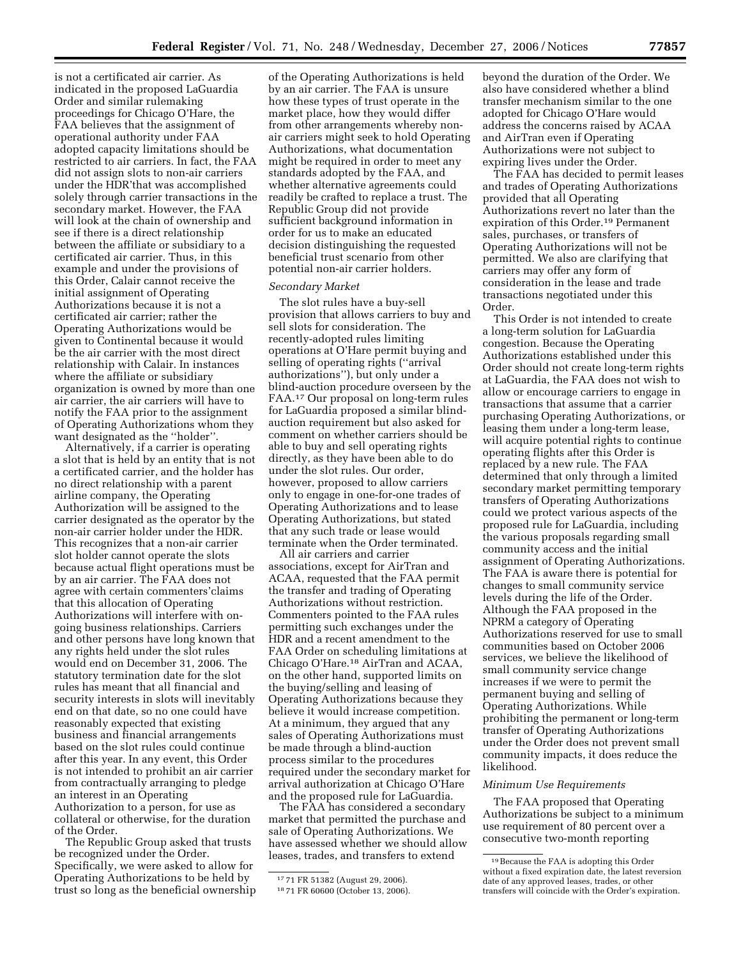is not a certificated air carrier. As indicated in the proposed LaGuardia Order and similar rulemaking proceedings for Chicago O'Hare, the FAA believes that the assignment of operational authority under FAA adopted capacity limitations should be restricted to air carriers. In fact, the FAA did not assign slots to non-air carriers under the HDR'that was accomplished solely through carrier transactions in the secondary market. However, the FAA will look at the chain of ownership and see if there is a direct relationship between the affiliate or subsidiary to a certificated air carrier. Thus, in this example and under the provisions of this Order, Calair cannot receive the initial assignment of Operating Authorizations because it is not a certificated air carrier; rather the Operating Authorizations would be given to Continental because it would be the air carrier with the most direct relationship with Calair. In instances where the affiliate or subsidiary organization is owned by more than one air carrier, the air carriers will have to notify the FAA prior to the assignment of Operating Authorizations whom they want designated as the ''holder''.

Alternatively, if a carrier is operating a slot that is held by an entity that is not a certificated carrier, and the holder has no direct relationship with a parent airline company, the Operating Authorization will be assigned to the carrier designated as the operator by the non-air carrier holder under the HDR. This recognizes that a non-air carrier slot holder cannot operate the slots because actual flight operations must be by an air carrier. The FAA does not agree with certain commenters'claims that this allocation of Operating Authorizations will interfere with ongoing business relationships. Carriers and other persons have long known that any rights held under the slot rules would end on December 31, 2006. The statutory termination date for the slot rules has meant that all financial and security interests in slots will inevitably end on that date, so no one could have reasonably expected that existing business and financial arrangements based on the slot rules could continue after this year. In any event, this Order is not intended to prohibit an air carrier from contractually arranging to pledge an interest in an Operating Authorization to a person, for use as collateral or otherwise, for the duration of the Order.

The Republic Group asked that trusts be recognized under the Order. Specifically, we were asked to allow for Operating Authorizations to be held by trust so long as the beneficial ownership

of the Operating Authorizations is held by an air carrier. The FAA is unsure how these types of trust operate in the market place, how they would differ from other arrangements whereby nonair carriers might seek to hold Operating Authorizations, what documentation might be required in order to meet any standards adopted by the FAA, and whether alternative agreements could readily be crafted to replace a trust. The Republic Group did not provide sufficient background information in order for us to make an educated decision distinguishing the requested beneficial trust scenario from other potential non-air carrier holders.

## *Secondary Market*

The slot rules have a buy-sell provision that allows carriers to buy and sell slots for consideration. The recently-adopted rules limiting operations at O'Hare permit buying and selling of operating rights (''arrival authorizations''), but only under a blind-auction procedure overseen by the FAA.17 Our proposal on long-term rules for LaGuardia proposed a similar blindauction requirement but also asked for comment on whether carriers should be able to buy and sell operating rights directly, as they have been able to do under the slot rules. Our order, however, proposed to allow carriers only to engage in one-for-one trades of Operating Authorizations and to lease Operating Authorizations, but stated that any such trade or lease would terminate when the Order terminated.

All air carriers and carrier associations, except for AirTran and ACAA, requested that the FAA permit the transfer and trading of Operating Authorizations without restriction. Commenters pointed to the FAA rules permitting such exchanges under the HDR and a recent amendment to the FAA Order on scheduling limitations at Chicago O'Hare.18 AirTran and ACAA, on the other hand, supported limits on the buying/selling and leasing of Operating Authorizations because they believe it would increase competition. At a minimum, they argued that any sales of Operating Authorizations must be made through a blind-auction process similar to the procedures required under the secondary market for arrival authorization at Chicago O'Hare and the proposed rule for LaGuardia.

The FAA has considered a secondary market that permitted the purchase and sale of Operating Authorizations. We have assessed whether we should allow leases, trades, and transfers to extend

beyond the duration of the Order. We also have considered whether a blind transfer mechanism similar to the one adopted for Chicago O'Hare would address the concerns raised by ACAA and AirTran even if Operating Authorizations were not subject to expiring lives under the Order.

The FAA has decided to permit leases and trades of Operating Authorizations provided that all Operating Authorizations revert no later than the expiration of this Order.<sup>19</sup> Permanent sales, purchases, or transfers of Operating Authorizations will not be permitted. We also are clarifying that carriers may offer any form of consideration in the lease and trade transactions negotiated under this Order.

This Order is not intended to create a long-term solution for LaGuardia congestion. Because the Operating Authorizations established under this Order should not create long-term rights at LaGuardia, the FAA does not wish to allow or encourage carriers to engage in transactions that assume that a carrier purchasing Operating Authorizations, or leasing them under a long-term lease, will acquire potential rights to continue operating flights after this Order is replaced by a new rule. The FAA determined that only through a limited secondary market permitting temporary transfers of Operating Authorizations could we protect various aspects of the proposed rule for LaGuardia, including the various proposals regarding small community access and the initial assignment of Operating Authorizations. The FAA is aware there is potential for changes to small community service levels during the life of the Order. Although the FAA proposed in the NPRM a category of Operating Authorizations reserved for use to small communities based on October 2006 services, we believe the likelihood of small community service change increases if we were to permit the permanent buying and selling of Operating Authorizations. While prohibiting the permanent or long-term transfer of Operating Authorizations under the Order does not prevent small community impacts, it does reduce the likelihood.

#### *Minimum Use Requirements*

The FAA proposed that Operating Authorizations be subject to a minimum use requirement of 80 percent over a consecutive two-month reporting

<sup>17</sup> 71 FR 51382 (August 29, 2006).

<sup>18</sup> 71 FR 60600 (October 13, 2006).

<sup>19</sup>Because the FAA is adopting this Order without a fixed expiration date, the latest reversion date of any approved leases, trades, or other transfers will coincide with the Order's expiration.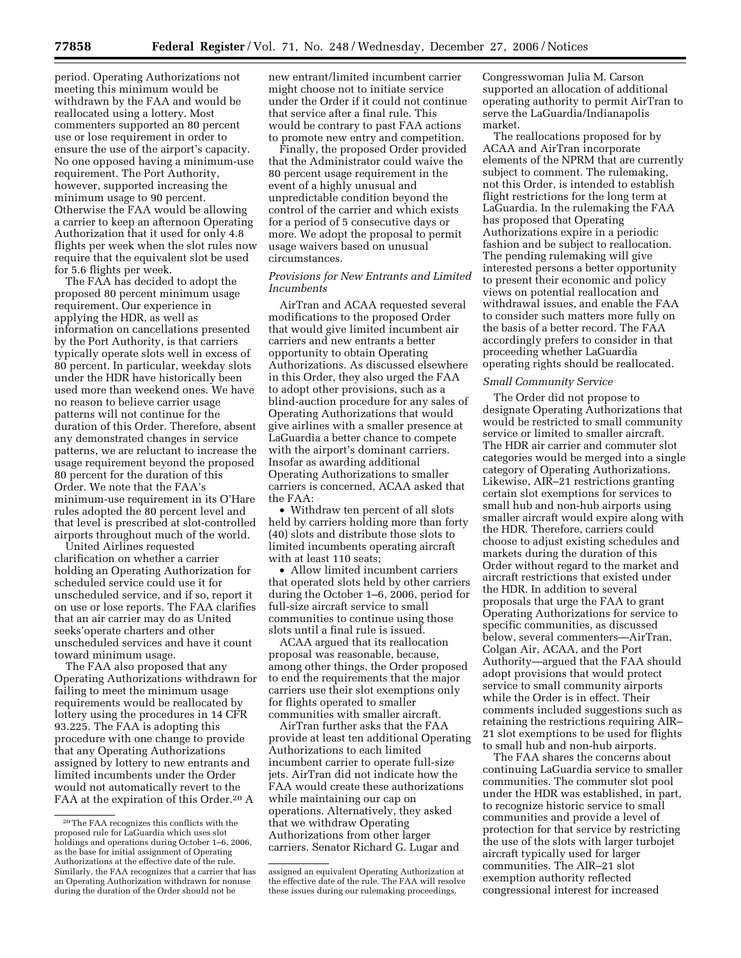period. Operating Authorizations not meeting this minimum would be withdrawn by the FAA and would be reallocated using a lottery. Most commenters supported an 80 percent use or lose requirement in order to ensure the use of the airport's capacity. No one opposed having a minimum-use requirement. The Port Authority, however, supported increasing the minimum usage to 90 percent. Otherwise the FAA would be allowing a carrier to keep an afternoon Operating Authorization that it used for only 4.8 flights per week when the slot rules now require that the equivalent slot be used for 5.6 flights per week.

The FAA has decided to adopt the proposed 80 percent minimum usage requirement. Our experience in applying the HDR, as well as information on cancellations presented by the Port Authority, is that carriers typically operate slots well in excess of 80 percent. In particular, weekday slots under the HDR have historically been used more than weekend ones. We have no reason to believe carrier usage patterns will not continue for the duration of this Order. Therefore, absent any demonstrated changes in service patterns, we are reluctant to increase the usage requirement beyond the proposed 80 percent for the duration of this Order. We note that the FAA's minimum-use requirement in its O'Hare rules adopted the 80 percent level and that level is prescribed at slot-controlled airports throughout much of the world.

United Airlines requested clarification on whether a carrier holding an Operating Authorization for scheduled service could use it for unscheduled service, and if so, report it on use or lose reports. The FAA clarifies that an air carrier may do as United seeks'operate charters and other unscheduled services and have it count toward minimum usage.

The FAA also proposed that any Operating Authorizations withdrawn for failing to meet the minimum usage requirements would be reallocated by lottery using the procedures in 14 CFR 93.225. The FAA is adopting this procedure with one change to provide that any Operating Authorizations assigned by lottery to new entrants and limited incumbents under the Order would not automatically revert to the FAA at the expiration of this Order.<sup>20</sup> A

new entrant/limited incumbent carrier might choose not to initiate service under the Order if it could not continue that service after a final rule. This would be contrary to past FAA actions to promote new entry and competition.

Finally, the proposed Order provided that the Administrator could waive the 80 percent usage requirement in the event of a highly unusual and unpredictable condition beyond the control of the carrier and which exists for a period of 5 consecutive days or more. We adopt the proposal to permit usage waivers based on unusual circumstances.

## *Provisions for New Entrants and Limited Incumbents*

AirTran and ACAA requested several modifications to the proposed Order that would give limited incumbent air carriers and new entrants a better opportunity to obtain Operating Authorizations. As discussed elsewhere in this Order, they also urged the FAA to adopt other provisions, such as a blind-auction procedure for any sales of Operating Authorizations that would give airlines with a smaller presence at LaGuardia a better chance to compete with the airport's dominant carriers. Insofar as awarding additional Operating Authorizations to smaller carriers is concerned, ACAA asked that the FAA:

• Withdraw ten percent of all slots held by carriers holding more than forty (40) slots and distribute those slots to limited incumbents operating aircraft with at least 110 seats;

• Allow limited incumbent carriers that operated slots held by other carriers during the October 1–6, 2006, period for full-size aircraft service to small communities to continue using those slots until a final rule is issued.

ACAA argued that its reallocation proposal was reasonable, because, among other things, the Order proposed to end the requirements that the major carriers use their slot exemptions only for flights operated to smaller communities with smaller aircraft.

AirTran further asks that the FAA provide at least ten additional Operating Authorizations to each limited incumbent carrier to operate full-size jets. AirTran did not indicate how the FAA would create these authorizations while maintaining our cap on operations. Alternatively, they asked that we withdraw Operating Authorizations from other larger carriers. Senator Richard G. Lugar and

Congresswoman Julia M. Carson supported an allocation of additional operating authority to permit AirTran to serve the LaGuardia/Indianapolis market.

The reallocations proposed for by ACAA and AirTran incorporate elements of the NPRM that are currently subject to comment. The rulemaking, not this Order, is intended to establish flight restrictions for the long term at LaGuardia. In the rulemaking the FAA has proposed that Operating Authorizations expire in a periodic fashion and be subject to reallocation. The pending rulemaking will give interested persons a better opportunity to present their economic and policy views on potential reallocation and withdrawal issues, and enable the FAA to consider such matters more fully on the basis of a better record. The FAA accordingly prefers to consider in that proceeding whether LaGuardia operating rights should be reallocated.

#### *Small Community Service*

The Order did not propose to designate Operating Authorizations that would be restricted to small community service or limited to smaller aircraft. The HDR air carrier and commuter slot categories would be merged into a single category of Operating Authorizations. Likewise, AIR–21 restrictions granting certain slot exemptions for services to small hub and non-hub airports using smaller aircraft would expire along with the HDR. Therefore, carriers could choose to adjust existing schedules and markets during the duration of this Order without regard to the market and aircraft restrictions that existed under the HDR. In addition to several proposals that urge the FAA to grant Operating Authorizations for service to specific communities, as discussed below, several commenters—AirTran, Colgan Air, ACAA, and the Port Authority—argued that the FAA should adopt provisions that would protect service to small community airports while the Order is in effect. Their comments included suggestions such as retaining the restrictions requiring AIR– 21 slot exemptions to be used for flights to small hub and non-hub airports.

The FAA shares the concerns about continuing LaGuardia service to smaller communities. The commuter slot pool under the HDR was established, in part, to recognize historic service to small communities and provide a level of protection for that service by restricting the use of the slots with larger turbojet aircraft typically used for larger communities. The AIR–21 slot exemption authority reflected congressional interest for increased

<sup>20</sup>The FAA recognizes this conflicts with the proposed rule for LaGuardia which uses slot holdings and operations during October 1–6, 2006, as the base for initial assignment of Operating Authorizations at the effective date of the rule. Similarly, the FAA recognizes that a carrier that has an Operating Authorization withdrawn for nonuse during the duration of the Order should not be

assigned an equivalent Operating Authorization at the effective date of the rule. The FAA will resolve these issues during our rulemaking proceedings.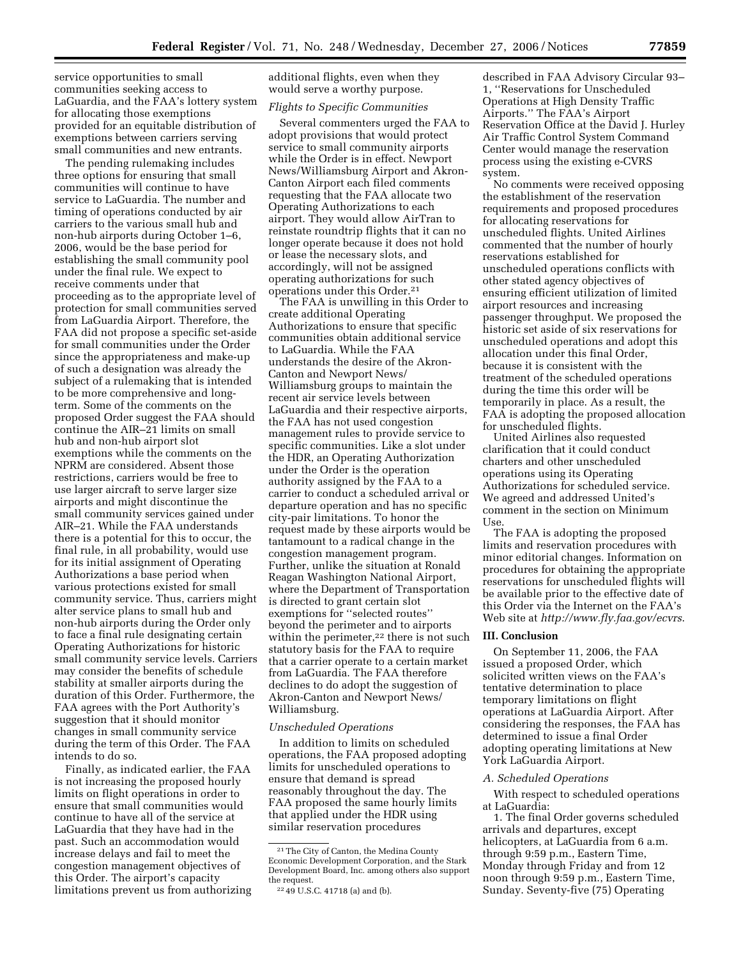service opportunities to small communities seeking access to LaGuardia, and the FAA's lottery system for allocating those exemptions provided for an equitable distribution of exemptions between carriers serving small communities and new entrants.

The pending rulemaking includes three options for ensuring that small communities will continue to have service to LaGuardia. The number and timing of operations conducted by air carriers to the various small hub and non-hub airports during October 1–6, 2006, would be the base period for establishing the small community pool under the final rule. We expect to receive comments under that proceeding as to the appropriate level of protection for small communities served from LaGuardia Airport. Therefore, the FAA did not propose a specific set-aside for small communities under the Order since the appropriateness and make-up of such a designation was already the subject of a rulemaking that is intended to be more comprehensive and longterm. Some of the comments on the proposed Order suggest the FAA should continue the AIR–21 limits on small hub and non-hub airport slot exemptions while the comments on the NPRM are considered. Absent those restrictions, carriers would be free to use larger aircraft to serve larger size airports and might discontinue the small community services gained under AIR–21. While the FAA understands there is a potential for this to occur, the final rule, in all probability, would use for its initial assignment of Operating Authorizations a base period when various protections existed for small community service. Thus, carriers might alter service plans to small hub and non-hub airports during the Order only to face a final rule designating certain Operating Authorizations for historic small community service levels. Carriers may consider the benefits of schedule stability at smaller airports during the duration of this Order. Furthermore, the FAA agrees with the Port Authority's suggestion that it should monitor changes in small community service during the term of this Order. The FAA intends to do so.

Finally, as indicated earlier, the FAA is not increasing the proposed hourly limits on flight operations in order to ensure that small communities would continue to have all of the service at LaGuardia that they have had in the past. Such an accommodation would increase delays and fail to meet the congestion management objectives of this Order. The airport's capacity limitations prevent us from authorizing additional flights, even when they would serve a worthy purpose.

# *Flights to Specific Communities*

Several commenters urged the FAA to adopt provisions that would protect service to small community airports while the Order is in effect. Newport News/Williamsburg Airport and Akron-Canton Airport each filed comments requesting that the FAA allocate two Operating Authorizations to each airport. They would allow AirTran to reinstate roundtrip flights that it can no longer operate because it does not hold or lease the necessary slots, and accordingly, will not be assigned operating authorizations for such operations under this Order.21

The FAA is unwilling in this Order to create additional Operating Authorizations to ensure that specific communities obtain additional service to LaGuardia. While the FAA understands the desire of the Akron-Canton and Newport News/ Williamsburg groups to maintain the recent air service levels between LaGuardia and their respective airports, the FAA has not used congestion management rules to provide service to specific communities. Like a slot under the HDR, an Operating Authorization under the Order is the operation authority assigned by the FAA to a carrier to conduct a scheduled arrival or departure operation and has no specific city-pair limitations. To honor the request made by these airports would be tantamount to a radical change in the congestion management program. Further, unlike the situation at Ronald Reagan Washington National Airport, where the Department of Transportation is directed to grant certain slot exemptions for ''selected routes'' beyond the perimeter and to airports within the perimeter,<sup>22</sup> there is not such statutory basis for the FAA to require that a carrier operate to a certain market from LaGuardia. The FAA therefore declines to do adopt the suggestion of Akron-Canton and Newport News/ Williamsburg.

### *Unscheduled Operations*

In addition to limits on scheduled operations, the FAA proposed adopting limits for unscheduled operations to ensure that demand is spread reasonably throughout the day. The FAA proposed the same hourly limits that applied under the HDR using similar reservation procedures

described in FAA Advisory Circular 93– 1, ''Reservations for Unscheduled Operations at High Density Traffic Airports.'' The FAA's Airport Reservation Office at the David J. Hurley Air Traffic Control System Command Center would manage the reservation process using the existing e-CVRS system.

No comments were received opposing the establishment of the reservation requirements and proposed procedures for allocating reservations for unscheduled flights. United Airlines commented that the number of hourly reservations established for unscheduled operations conflicts with other stated agency objectives of ensuring efficient utilization of limited airport resources and increasing passenger throughput. We proposed the historic set aside of six reservations for unscheduled operations and adopt this allocation under this final Order, because it is consistent with the treatment of the scheduled operations during the time this order will be temporarily in place. As a result, the FAA is adopting the proposed allocation for unscheduled flights.

United Airlines also requested clarification that it could conduct charters and other unscheduled operations using its Operating Authorizations for scheduled service. We agreed and addressed United's comment in the section on Minimum Use.

The FAA is adopting the proposed limits and reservation procedures with minor editorial changes. Information on procedures for obtaining the appropriate reservations for unscheduled flights will be available prior to the effective date of this Order via the Internet on the FAA's Web site at *http://www.fly.faa.gov/ecvrs*.

### **III. Conclusion**

On September 11, 2006, the FAA issued a proposed Order, which solicited written views on the FAA's tentative determination to place temporary limitations on flight operations at LaGuardia Airport. After considering the responses, the FAA has determined to issue a final Order adopting operating limitations at New York LaGuardia Airport.

## *A. Scheduled Operations*

With respect to scheduled operations at LaGuardia:

1. The final Order governs scheduled arrivals and departures, except helicopters, at LaGuardia from 6 a.m. through 9:59 p.m., Eastern Time, Monday through Friday and from 12 noon through 9:59 p.m., Eastern Time, Sunday. Seventy-five (75) Operating

<sup>21</sup>The City of Canton, the Medina County Economic Development Corporation, and the Stark Development Board, Inc. among others also support the request.

<sup>22</sup> 49 U.S.C. 41718 (a) and (b).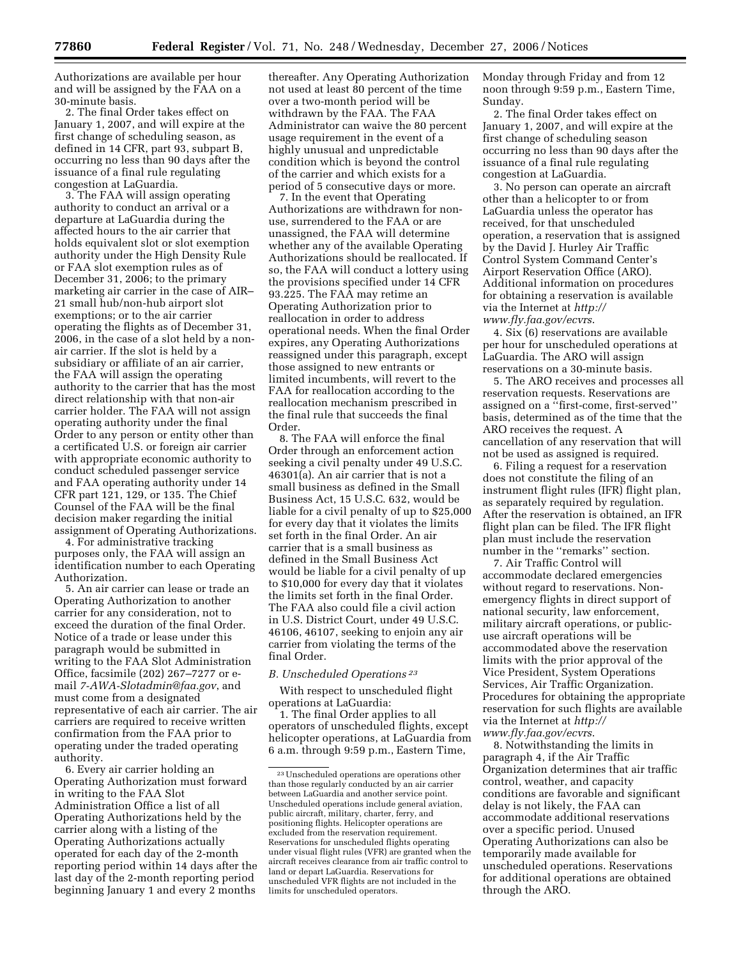Authorizations are available per hour and will be assigned by the FAA on a 30-minute basis.

2. The final Order takes effect on January 1, 2007, and will expire at the first change of scheduling season, as defined in 14 CFR, part 93, subpart B, occurring no less than 90 days after the issuance of a final rule regulating congestion at LaGuardia.

3. The FAA will assign operating authority to conduct an arrival or a departure at LaGuardia during the affected hours to the air carrier that holds equivalent slot or slot exemption authority under the High Density Rule or FAA slot exemption rules as of December 31, 2006; to the primary marketing air carrier in the case of AIR– 21 small hub/non-hub airport slot exemptions; or to the air carrier operating the flights as of December 31, 2006, in the case of a slot held by a nonair carrier. If the slot is held by a subsidiary or affiliate of an air carrier, the FAA will assign the operating authority to the carrier that has the most direct relationship with that non-air carrier holder. The FAA will not assign operating authority under the final Order to any person or entity other than a certificated U.S. or foreign air carrier with appropriate economic authority to conduct scheduled passenger service and FAA operating authority under 14 CFR part 121, 129, or 135. The Chief Counsel of the FAA will be the final decision maker regarding the initial assignment of Operating Authorizations.

4. For administrative tracking purposes only, the FAA will assign an identification number to each Operating Authorization.

5. An air carrier can lease or trade an Operating Authorization to another carrier for any consideration, not to exceed the duration of the final Order. Notice of a trade or lease under this paragraph would be submitted in writing to the FAA Slot Administration Office, facsimile (202) 267–7277 or email *7-AWA-Slotadmin@faa.gov*, and must come from a designated representative of each air carrier. The air carriers are required to receive written confirmation from the FAA prior to operating under the traded operating authority.

6. Every air carrier holding an Operating Authorization must forward in writing to the FAA Slot Administration Office a list of all Operating Authorizations held by the carrier along with a listing of the Operating Authorizations actually operated for each day of the 2-month reporting period within 14 days after the last day of the 2-month reporting period beginning January 1 and every 2 months

thereafter. Any Operating Authorization not used at least 80 percent of the time over a two-month period will be withdrawn by the FAA. The FAA Administrator can waive the 80 percent usage requirement in the event of a highly unusual and unpredictable condition which is beyond the control of the carrier and which exists for a period of 5 consecutive days or more.

7. In the event that Operating Authorizations are withdrawn for nonuse, surrendered to the FAA or are unassigned, the FAA will determine whether any of the available Operating Authorizations should be reallocated. If so, the FAA will conduct a lottery using the provisions specified under 14 CFR 93.225. The FAA may retime an Operating Authorization prior to reallocation in order to address operational needs. When the final Order expires, any Operating Authorizations reassigned under this paragraph, except those assigned to new entrants or limited incumbents, will revert to the FAA for reallocation according to the reallocation mechanism prescribed in the final rule that succeeds the final Order.

8. The FAA will enforce the final Order through an enforcement action seeking a civil penalty under 49 U.S.C. 46301(a). An air carrier that is not a small business as defined in the Small Business Act, 15 U.S.C. 632, would be liable for a civil penalty of up to \$25,000 for every day that it violates the limits set forth in the final Order. An air carrier that is a small business as defined in the Small Business Act would be liable for a civil penalty of up to \$10,000 for every day that it violates the limits set forth in the final Order. The FAA also could file a civil action in U.S. District Court, under 49 U.S.C. 46106, 46107, seeking to enjoin any air carrier from violating the terms of the final Order.

#### *B. Unscheduled Operations 23*

With respect to unscheduled flight operations at LaGuardia:

1. The final Order applies to all operators of unscheduled flights, except helicopter operations, at LaGuardia from 6 a.m. through 9:59 p.m., Eastern Time,

Monday through Friday and from 12 noon through 9:59 p.m., Eastern Time, Sunday.

2. The final Order takes effect on January 1, 2007, and will expire at the first change of scheduling season occurring no less than 90 days after the issuance of a final rule regulating congestion at LaGuardia.

3. No person can operate an aircraft other than a helicopter to or from LaGuardia unless the operator has received, for that unscheduled operation, a reservation that is assigned by the David J. Hurley Air Traffic Control System Command Center's Airport Reservation Office (ARO). Additional information on procedures for obtaining a reservation is available via the Internet at *http:// www.fly.faa.gov/ecvrs*.

4. Six (6) reservations are available per hour for unscheduled operations at LaGuardia. The ARO will assign reservations on a 30-minute basis.

5. The ARO receives and processes all reservation requests. Reservations are assigned on a ''first-come, first-served'' basis, determined as of the time that the ARO receives the request. A cancellation of any reservation that will not be used as assigned is required.

6. Filing a request for a reservation does not constitute the filing of an instrument flight rules (IFR) flight plan, as separately required by regulation. After the reservation is obtained, an IFR flight plan can be filed. The IFR flight plan must include the reservation number in the ''remarks'' section.

7. Air Traffic Control will accommodate declared emergencies without regard to reservations. Nonemergency flights in direct support of national security, law enforcement, military aircraft operations, or publicuse aircraft operations will be accommodated above the reservation limits with the prior approval of the Vice President, System Operations Services, Air Traffic Organization. Procedures for obtaining the appropriate reservation for such flights are available via the Internet at *http:// www.fly.faa.gov/ecvrs*.

8. Notwithstanding the limits in paragraph 4, if the Air Traffic Organization determines that air traffic control, weather, and capacity conditions are favorable and significant delay is not likely, the FAA can accommodate additional reservations over a specific period. Unused Operating Authorizations can also be temporarily made available for unscheduled operations. Reservations for additional operations are obtained through the ARO.

<sup>23</sup>Unscheduled operations are operations other than those regularly conducted by an air carrier between LaGuardia and another service point. Unscheduled operations include general aviation, public aircraft, military, charter, ferry, and positioning flights. Helicopter operations are excluded from the reservation requirement. Reservations for unscheduled flights operating under visual flight rules (VFR) are granted when the aircraft receives clearance from air traffic control to land or depart LaGuardia. Reservations for unscheduled VFR flights are not included in the limits for unscheduled operators.